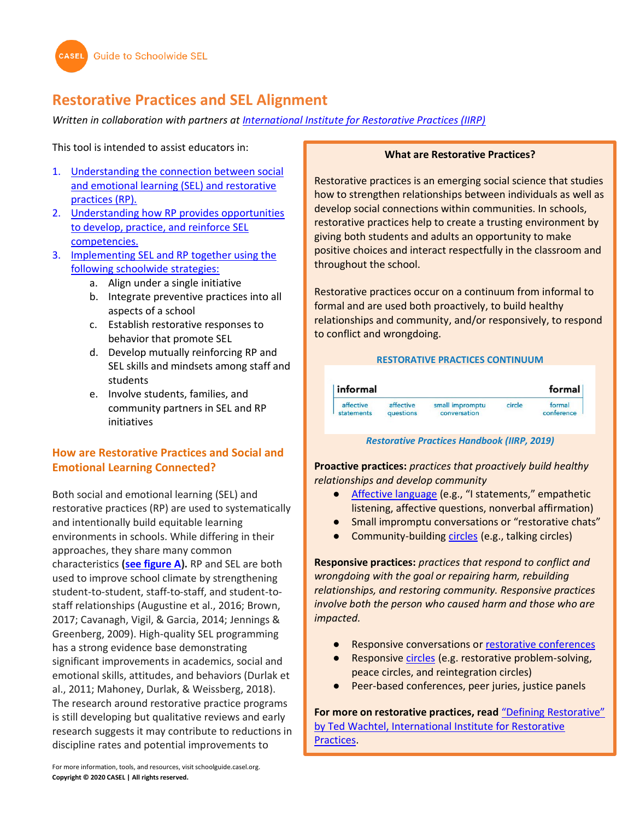# **Restorative Practices and SEL Alignment**

*Written in collaboration with partners at [International Institute for Restorative Practices \(IIRP\)](https://www.iirp.edu/)*

This tool is intended to assist educators in:

- 1. [Understanding the connection between social](#page-0-0)  [and emotional learning \(SEL\) and restorative](#page-0-0)  [practices \(RP\).](#page-0-0)
- 2. [Understanding how RP provides opportunities](#page-1-0)  [to develop, practice, and reinforce SEL](#page-1-0)  [competencies.](#page-1-0)
- 3. [Implementing SEL and RP together using the](#page-7-0)  [following schoolwide strategies:](#page-7-0)
	- a. Align under a single initiative
	- b. Integrate preventive practices into all aspects of a school
	- c. Establish restorative responses to behavior that promote SEL
	- d. Develop mutually reinforcing RP and SEL skills and mindsets among staff and students
	- e. Involve students, families, and community partners in SEL and RP initiatives

# <span id="page-0-0"></span>**How are Restorative Practices and Social and Emotional Learning Connected?**

Both social and emotional learning (SEL) and restorative practices (RP) are used to systematically and intentionally build equitable learning environments in schools. While differing in their approaches, they share many common characteristics **[\(see figure A\)](#page-1-1).** RP and SEL are both used to improve school climate by strengthening student-to-student, staff-to-staff, and student-tostaff relationships (Augustine et al., 2016; Brown, 2017; Cavanagh, Vigil, & Garcia, 2014; Jennings & Greenberg, 2009). High-quality SEL programming has a strong evidence base demonstrating significant improvements in academics, social and emotional skills, attitudes, and behaviors (Durlak et al., 2011; Mahoney, Durlak, & Weissberg, 2018). The research around restorative practice programs is still developing but qualitative reviews and early research suggests it may contribute to reductions in discipline rates and potential improvements to

#### **What are Restorative Practices?**

Restorative practices is an emerging social science that studies how to strengthen relationships between individuals as well as develop social connections within communities. In schools, restorative practices help to create a trusting environment by giving both students and adults an opportunity to make positive choices and interact respectfully in the classroom and throughout the school.

Restorative practices occur on a continuum from informal to formal and are used both proactively, to build healthy relationships and community, and/or responsively, to respond to conflict and wrongdoing.

#### **RESTORATIVE PRACTICES CONTINUUM**

| informal   |                  |                 |        | formal     |
|------------|------------------|-----------------|--------|------------|
| affective  | affective        | small impromptu | circle | formal     |
| statements | <b>auestions</b> | conversation    |        | conference |

#### *Restorative Practices Handbook (IIRP, 2019)*

**Proactive practices:** *practices that proactively build healthy relationships and develop community*

- [Affective language](#page-3-0) (e.g., "I statements," empathetic listening, affective questions, nonverbal affirmation)
- Small impromptu conversations or "restorative chats"
- Community-building [circles](#page-4-0) (e.g., talking circles)

**Responsive practices:** *practices that respond to conflict and wrongdoing with the goal or repairing harm, rebuilding relationships, and restoring community. Responsive practices involve both the person who caused harm and those who are impacted.* 

- Responsive conversations or [restorative conferences](#page-6-0)
- Responsive [circles](#page-4-0) (e.g. restorative problem-solving, peace circles, and reintegration circles)
- Peer-based conferences, peer juries, justice panels

**For more on restorative practices, read** ["Defining Restorative"](https://www.iirp.edu/restorative-practices/defining-restorative/)  [by Ted Wachtel, International Institute for Restorative](https://www.iirp.edu/restorative-practices/defining-restorative/)  [Practices.](https://www.iirp.edu/restorative-practices/defining-restorative/)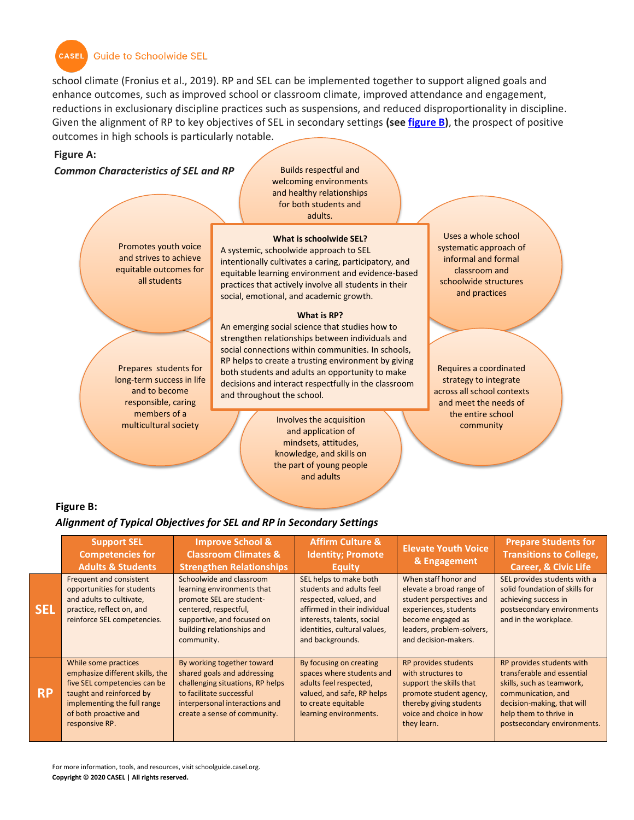

**CASEL** Guide to Schoolwide SEL

school climate (Fronius et al., 2019). RP and SEL can be implemented together to support aligned goals and enhance outcomes, such as improved school or classroom climate, improved attendance and engagement, reductions in exclusionary discipline practices such as suspensions, and reduced disproportionality in discipline. Given the alignment of RP to key objectives of SEL in secondary settings **(see [figure B\)](#page-1-2)**, the prospect of positive outcomes in high schools is particularly notable.

#### <span id="page-1-1"></span>**Figure A:**

*Common Characteristics of SEL and RP*

Prepares students for long-term success in life and to become responsible, caring members of a multicultural society

Promotes youth voice and strives to achieve equitable outcomes for all students

Builds respectful and welcoming environments and healthy relationships for both students and adults.

#### **What is schoolwide SEL?**

A systemic, schoolwide approach to SEL intentionally cultivates a caring, participatory, and equitable learning environment and evidence-based practices that actively involve all students in their social, emotional, and academic growth.

#### **What is RP?**

An emerging social science that studies how to strengthen relationships between individuals and social connections within communities. In schools, RP helps to create a trusting environment by giving both students and adults an opportunity to make decisions and interact respectfully in the classroom and throughout the school.

> Involves the acquisition<br>
> and analization of the community and application of mindsets, attitudes, knowledge, and skills on the part of young people and adults

Uses a whole school systematic approach of informal and formal classroom and schoolwide structures and practices

Requires a coordinated strategy to integrate across all school contexts and meet the needs of the entire school

#### <span id="page-1-2"></span>**Figure B:**

#### *Alignment of Typical Objectives for SEL and RP in Secondary Settings*

<span id="page-1-0"></span>

|            | <b>Support SEL</b><br><b>Competencies for</b><br><b>Adults &amp; Students</b>                                                                                                                 | <b>Improve School &amp;</b><br><b>Classroom Climates &amp;</b><br><b>Strengthen Relationships</b>                                                                                           | <b>Affirm Culture &amp;</b><br><b>Identity; Promote</b><br>Equity                                                                                                                              | <b>Elevate Youth Voice</b><br>& Engagement                                                                                                                                      | <b>Prepare Students for</b><br><b>Transitions to College,</b><br><b>Career, &amp; Civic Life</b>                                                                                                  |
|------------|-----------------------------------------------------------------------------------------------------------------------------------------------------------------------------------------------|---------------------------------------------------------------------------------------------------------------------------------------------------------------------------------------------|------------------------------------------------------------------------------------------------------------------------------------------------------------------------------------------------|---------------------------------------------------------------------------------------------------------------------------------------------------------------------------------|---------------------------------------------------------------------------------------------------------------------------------------------------------------------------------------------------|
| <b>SEL</b> | Frequent and consistent<br>opportunities for students<br>and adults to cultivate,<br>practice, reflect on, and<br>reinforce SEL competencies.                                                 | Schoolwide and classroom<br>learning environments that<br>promote SEL are student-<br>centered, respectful,<br>supportive, and focused on<br>building relationships and<br>community.       | SEL helps to make both<br>students and adults feel<br>respected, valued, and<br>affirmed in their individual<br>interests, talents, social<br>identities, cultural values,<br>and backgrounds. | When staff honor and<br>elevate a broad range of<br>student perspectives and<br>experiences, students<br>become engaged as<br>leaders, problem-solvers,<br>and decision-makers. | SEL provides students with a<br>solid foundation of skills for<br>achieving success in<br>postsecondary environments<br>and in the workplace.                                                     |
| <b>RP</b>  | While some practices<br>emphasize different skills, the<br>five SEL competencies can be<br>taught and reinforced by<br>implementing the full range<br>of both proactive and<br>responsive RP. | By working together toward<br>shared goals and addressing<br>challenging situations, RP helps<br>to facilitate successful<br>interpersonal interactions and<br>create a sense of community. | By focusing on creating<br>spaces where students and<br>adults feel respected,<br>valued, and safe, RP helps<br>to create equitable<br>learning environments.                                  | RP provides students<br>with structures to<br>support the skills that<br>promote student agency,<br>thereby giving students<br>voice and choice in how<br>they learn.           | RP provides students with<br>transferable and essential<br>skills, such as teamwork,<br>communication, and<br>decision-making, that will<br>help them to thrive in<br>postsecondary environments. |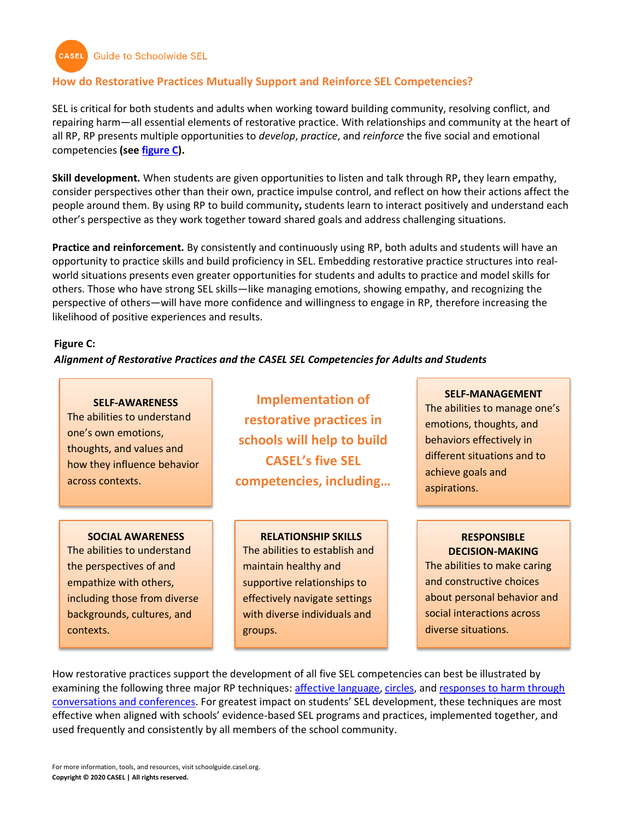**CASEL** Guide to Schoolwide SEL

## **How do Restorative Practices Mutually Support and Reinforce SEL Competencies?**

SEL is critical for both students and adults when working toward building community, resolving conflict, and repairing harm—all essential elements of restorative practice. With relationships and community at the heart of all RP, RP presents multiple opportunities to *develop*, *practice*, and *reinforce* the five social and emotional competencies **(se[e figure C\)](#page-2-0).**

**Skill development.** When students are given opportunities to listen and talk through RP**,** they learn empathy, consider perspectives other than their own, practice impulse control, and reflect on how their actions affect the people around them. By using RP to build community**,** students learn to interact positively and understand each other's perspective as they work together toward shared goals and address challenging situations.

**Practice and reinforcement.** By consistently and continuously using RP, both adults and students will have an opportunity to practice skills and build proficiency in SEL. Embedding restorative practice structures into realworld situations presents even greater opportunities for students and adults to practice and model skills for others. Those who have strong SEL skills—like managing emotions, showing empathy, and recognizing the perspective of others—will have more confidence and willingness to engage in RP, therefore increasing the likelihood of positive experiences and results.

#### <span id="page-2-0"></span>**Figure C:**

*Alignment of Restorative Practices and the CASEL SEL Competencies for Adults and Students*

#### **SELF-AWARENESS**

The abilities to understand one's own emotions, thoughts, and values and how they influence behavior across contexts.

#### **SOCIAL AWARENESS**

The abilities to understand the perspectives of and empathize with others, including those from diverse backgrounds, cultures, and contexts.

**Implementation of restorative practices in schools will help to build CASEL's five SEL competencies, including…**

# **RELATIONSHIP SKILLS**

The abilities to establish and maintain healthy and supportive relationships to effectively navigate settings with diverse individuals and groups.

# **SELF-MANAGEMENT**

The abilities to manage one's emotions, thoughts, and behaviors effectively in different situations and to achieve goals and aspirations.

#### **RESPONSIBLE DECISION-MAKING**

The abilities to make caring and constructive choices about personal behavior and social interactions across diverse situations.

How restorative practices support the development of all five SEL competencies can best be illustrated by examining the following three major RP techniques: [affective language,](#page-3-0) [circles,](#page-4-0) and [responses to harm through](#page-6-0)  [conversations and conferences.](#page-6-0) For greatest impact on students' SEL development, these techniques are most effective when aligned with schools' evidence-based SEL programs and practices, implemented together, and used frequently and consistently by all members of the school community.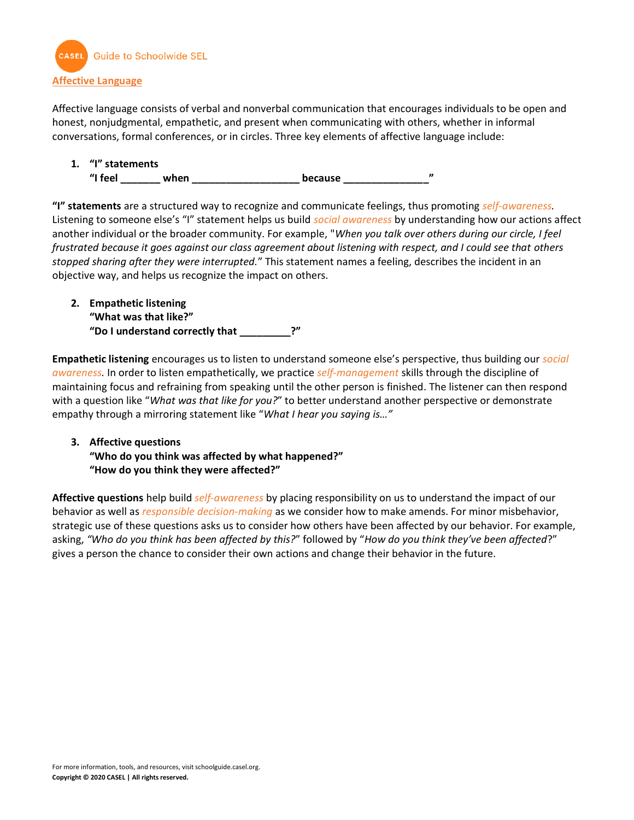

<span id="page-3-0"></span>Affective language consists of verbal and nonverbal communication that encourages individuals to be open and honest, nonjudgmental, empathetic, and present when communicating with others, whether in informal conversations, formal conferences, or in circles. Three key elements of affective language include:

**1. "I" statements**  "I feel when **when because** 

**"I" statements** are a structured way to recognize and communicate feelings, thus promoting *self-awareness.* Listening to someone else's "I" statement helps us build *social awareness* by understanding how our actions affect another individual or the broader community. For example, "*When you talk over others during our circle, I feel frustrated because it goes against our class agreement about listening with respect, and I could see that others stopped sharing after they were interrupted.*" This statement names a feeling, describes the incident in an objective way, and helps us recognize the impact on others.

**2. Empathetic listening "What was that like?" "Do I understand correctly that \_\_\_\_\_\_\_\_\_?"**

**Empathetic listening** encourages us to listen to understand someone else's perspective, thus building our *social awareness.* In order to listen empathetically, we practice *self-management* skills through the discipline of maintaining focus and refraining from speaking until the other person is finished. The listener can then respond with a question like "*What was that like for you?*" to better understand another perspective or demonstrate empathy through a mirroring statement like "*What I hear you saying is…"* 

# **3. Affective questions "Who do you think was affected by what happened?" "How do you think they were affected?"**

**Affective questions** help build *self-awareness* by placing responsibility on us to understand the impact of our behavior as well as *responsible decision-making* as we consider how to make amends. For minor misbehavior, strategic use of these questions asks us to consider how others have been affected by our behavior. For example, asking, *"Who do you think has been affected by this?*" followed by "*How do you think they've been affected*?" gives a person the chance to consider their own actions and change their behavior in the future.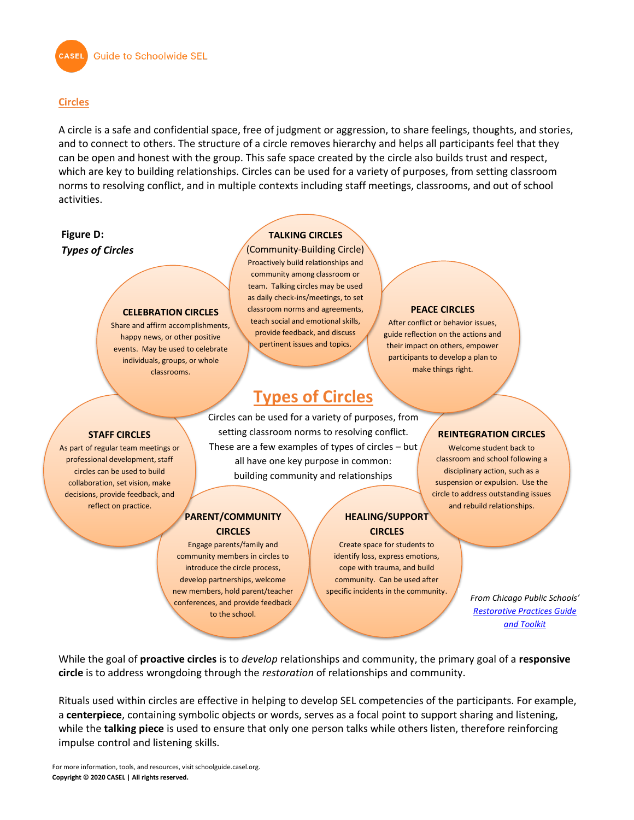

#### <span id="page-4-0"></span>**Circles**

A circle is a safe and confidential space, free of judgment or aggression, to share feelings, thoughts, and stories, and to connect to others. The structure of a circle removes hierarchy and helps all participants feel that they can be open and honest with the group. This safe space created by the circle also builds trust and respect, which are key to building relationships. Circles can be used for a variety of purposes, from setting classroom norms to resolving conflict, and in multiple contexts including staff meetings, classrooms, and out of school activities.

# **Figure D:**  *Types of Circles*

**STAFF CIRCLES** As part of regular team meetings or professional development, staff circles can be used to build collaboration, set vision, make decisions, provide feedback, and reflect on practice.

**CELEBRATION CIRCLES** Share and affirm accomplishments, happy news, or other positive events. May be used to celebrate individuals, groups, or whole classrooms.

## **TALKING CIRCLES**

(Community-Building Circle) Proactively build relationships and community among classroom or team. Talking circles may be used as daily check-ins/meetings, to set classroom norms and agreements, teach social and emotional skills, provide feedback, and discuss pertinent issues and topics.

# **Types of Circles**

Circles can be used for a variety of purposes, from setting classroom norms to resolving conflict. These are a few examples of types of circles – but all have one key purpose in common: building community and relationships

#### **PARENT/COMMUNITY CIRCLES**

Engage parents/family and community members in circles to introduce the circle process, develop partnerships, welcome new members, hold parent/teacher conferences, and provide feedback

to the school.

**HEALING/SUPPORT CIRCLES**

Create space for students to identify loss, express emotions, cope with trauma, and build community. Can be used after specific incidents in the community.

#### **REINTEGRATION CIRCLES**

**PEACE CIRCLES** After conflict or behavior issues, guide reflection on the actions and their impact on others, empower participants to develop a plan to make things right.

> Welcome student back to classroom and school following a disciplinary action, such as a suspension or expulsion. Use the circle to address outstanding issues and rebuild relationships.

> > *From Chicago Public Schools' [Restorative Practices Guide](https://drc.casel.org/blog/resource/chicago-public-schools-restorative-practices-guide-and-toolkit/)  [and Toolkit](https://drc.casel.org/blog/resource/chicago-public-schools-restorative-practices-guide-and-toolkit/)*

While the goal of **proactive circles** is to *develop* relationships and community, the primary goal of a **responsive circle** is to address wrongdoing through the *restoration* of relationships and community.

Rituals used within circles are effective in helping to develop SEL competencies of the participants. For example, a **centerpiece**, containing symbolic objects or words, serves as a focal point to support sharing and listening, while the **talking piece** is used to ensure that only one person talks while others listen, therefore reinforcing impulse control and listening skills.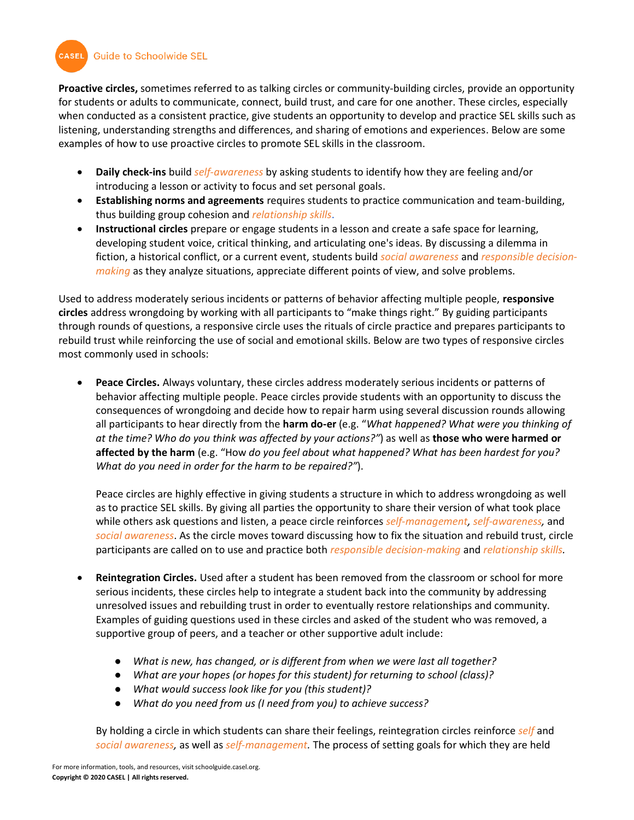**Guide to Schoolwide SEL** 

**CASEL** 

**Proactive circles,** sometimes referred to as talking circles or community-building circles, provide an opportunity for students or adults to communicate, connect, build trust, and care for one another. These circles, especially when conducted as a consistent practice, give students an opportunity to develop and practice SEL skills such as listening, understanding strengths and differences, and sharing of emotions and experiences. Below are some examples of how to use proactive circles to promote SEL skills in the classroom.

- **Daily check-ins** build *self-awareness* by asking students to identify how they are feeling and/or introducing a lesson or activity to focus and set personal goals.
- **Establishing norms and agreements** requires students to practice communication and team-building, thus building group cohesion and *relationship skills*.
- **Instructional circles** prepare or engage students in a lesson and create a safe space for learning, developing student voice, critical thinking, and articulating one's ideas. By discussing a dilemma in fiction, a historical conflict, or a current event, students build *social awareness* and *responsible decisionmaking* as they analyze situations, appreciate different points of view, and solve problems.

Used to address moderately serious incidents or patterns of behavior affecting multiple people, **responsive circles** address wrongdoing by working with all participants to "make things right." By guiding participants through rounds of questions, a responsive circle uses the rituals of circle practice and prepares participants to rebuild trust while reinforcing the use of social and emotional skills. Below are two types of responsive circles most commonly used in schools:

• **Peace Circles.** Always voluntary, these circles address moderately serious incidents or patterns of behavior affecting multiple people. Peace circles provide students with an opportunity to discuss the consequences of wrongdoing and decide how to repair harm using several discussion rounds allowing all participants to hear directly from the **harm do-er** (e.g. "*What happened? What were you thinking of at the time? Who do you think was affected by your actions?"*) as well as **those who were harmed or affected by the harm** (e.g. "How *do you feel about what happened? What has been hardest for you? What do you need in order for the harm to be repaired?"*).

Peace circles are highly effective in giving students a structure in which to address wrongdoing as well as to practice SEL skills. By giving all parties the opportunity to share their version of what took place while others ask questions and listen, a peace circle reinforces *self-management, self-awareness,* and *social awareness*. As the circle moves toward discussing how to fix the situation and rebuild trust, circle participants are called on to use and practice both *responsible decision-making* and *relationship skills.* 

- **Reintegration Circles.** Used after a student has been removed from the classroom or school for more serious incidents, these circles help to integrate a student back into the community by addressing unresolved issues and rebuilding trust in order to eventually restore relationships and community. Examples of guiding questions used in these circles and asked of the student who was removed, a supportive group of peers, and a teacher or other supportive adult include:
	- *What is new, has changed, or is different from when we were last all together?*
	- *What are your hopes (or hopes for this student) for returning to school (class)?*
	- *What would success look like for you (this student)?*
	- *What do you need from us (I need from you) to achieve success?*

By holding a circle in which students can share their feelings, reintegration circles reinforce *self* and *social awareness,* as well as *self-management.* The process of setting goals for which they are held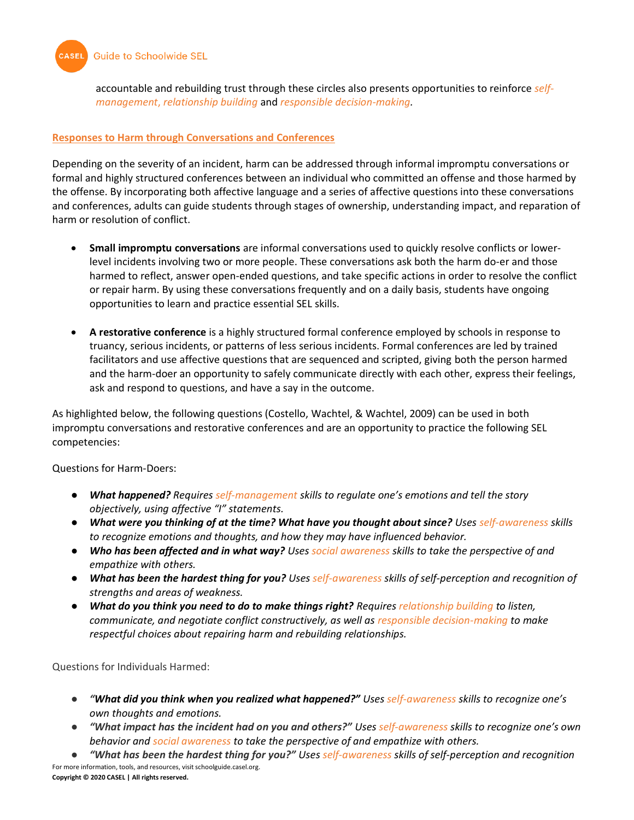

accountable and rebuilding trust through these circles also presents opportunities to reinforce *selfmanagement*, *relationship building* and *responsible decision-making.* 

#### <span id="page-6-0"></span>**Responses to Harm through Conversations and Conferences**

Depending on the severity of an incident, harm can be addressed through informal impromptu conversations or formal and highly structured conferences between an individual who committed an offense and those harmed by the offense. By incorporating both affective language and a series of affective questions into these conversations and conferences, adults can guide students through stages of ownership, understanding impact, and reparation of harm or resolution of conflict.

- **Small impromptu conversations** are informal conversations used to quickly resolve conflicts or lowerlevel incidents involving two or more people. These conversations ask both the harm do-er and those harmed to reflect, answer open-ended questions, and take specific actions in order to resolve the conflict or repair harm. By using these conversations frequently and on a daily basis, students have ongoing opportunities to learn and practice essential SEL skills.
- **A restorative conference** is a highly structured formal conference employed by schools in response to truancy, serious incidents, or patterns of less serious incidents. Formal conferences are led by trained facilitators and use affective questions that are sequenced and scripted, giving both the person harmed and the harm-doer an opportunity to safely communicate directly with each other, express their feelings, ask and respond to questions, and have a say in the outcome.

As highlighted below, the following questions (Costello, Wachtel, & Wachtel, 2009) can be used in both impromptu conversations and restorative conferences and are an opportunity to practice the following SEL competencies:

Questions for Harm-Doers:

- *What happened? Requires self-management skills to regulate one's emotions and tell the story objectively, using affective "I" statements.*
- *What were you thinking of at the time? What have you thought about since? Uses self-awareness skills to recognize emotions and thoughts, and how they may have influenced behavior.*
- *Who has been affected and in what way? Uses social awareness skills to take the perspective of and empathize with others.*
- *What has been the hardest thing for you? Uses self-awareness skills of self-perception and recognition of strengths and areas of weakness.*
- *What do you think you need to do to make things right? Requires relationship building to listen, communicate, and negotiate conflict constructively, as well as responsible decision-making to make respectful choices about repairing harm and rebuilding relationships.*

Questions for Individuals Harmed:

- *"What did you think when you realized what happened?" Uses self-awareness skills to recognize one's own thoughts and emotions.*
- *"What impact has the incident had on you and others?" Uses self-awareness skills to recognize one's own behavior and social awareness to take the perspective of and empathize with others.*

For more information, tools, and resources, visit schoolguide.casel.org. **Copyright © 2020 CASEL | All rights reserved.** ● *"What has been the hardest thing for you?" Uses self-awareness skills of self-perception and recognition*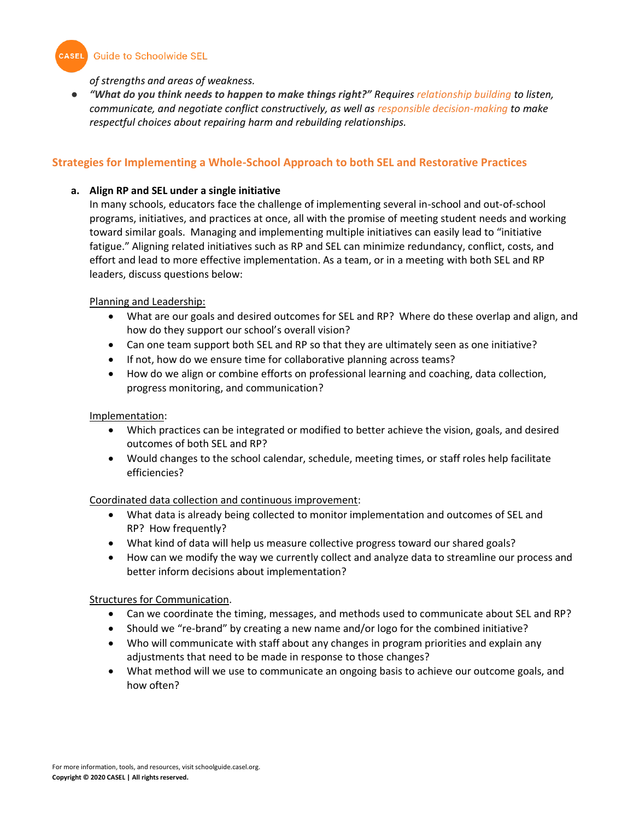CASEL Guide to Schoolwide SEL

*of strengths and areas of weakness.*

● *"What do you think needs to happen to make things right?" Requires relationship building to listen, communicate, and negotiate conflict constructively, as well as responsible decision-making to make respectful choices about repairing harm and rebuilding relationships.* 

# <span id="page-7-0"></span>**Strategies for Implementing a Whole-School Approach to both SEL and Restorative Practices**

## **a. Align RP and SEL under a single initiative**

In many schools, educators face the challenge of implementing several in-school and out-of-school programs, initiatives, and practices at once, all with the promise of meeting student needs and working toward similar goals. Managing and implementing multiple initiatives can easily lead to "initiative fatigue." Aligning related initiatives such as RP and SEL can minimize redundancy, conflict, costs, and effort and lead to more effective implementation. As a team, or in a meeting with both SEL and RP leaders, discuss questions below:

# Planning and Leadership:

- What are our goals and desired outcomes for SEL and RP? Where do these overlap and align, and how do they support our school's overall vision?
- Can one team support both SEL and RP so that they are ultimately seen as one initiative?
- If not, how do we ensure time for collaborative planning across teams?
- How do we align or combine efforts on professional learning and coaching, data collection, progress monitoring, and communication?

## Implementation:

- Which practices can be integrated or modified to better achieve the vision, goals, and desired outcomes of both SEL and RP?
- Would changes to the school calendar, schedule, meeting times, or staff roles help facilitate efficiencies?

# Coordinated data collection and continuous improvement:

- What data is already being collected to monitor implementation and outcomes of SEL and RP? How frequently?
- What kind of data will help us measure collective progress toward our shared goals?
- How can we modify the way we currently collect and analyze data to streamline our process and better inform decisions about implementation?

#### Structures for Communication.

- Can we coordinate the timing, messages, and methods used to communicate about SEL and RP?
- Should we "re-brand" by creating a new name and/or logo for the combined initiative?
- Who will communicate with staff about any changes in program priorities and explain any adjustments that need to be made in response to those changes?
- What method will we use to communicate an ongoing basis to achieve our outcome goals, and how often?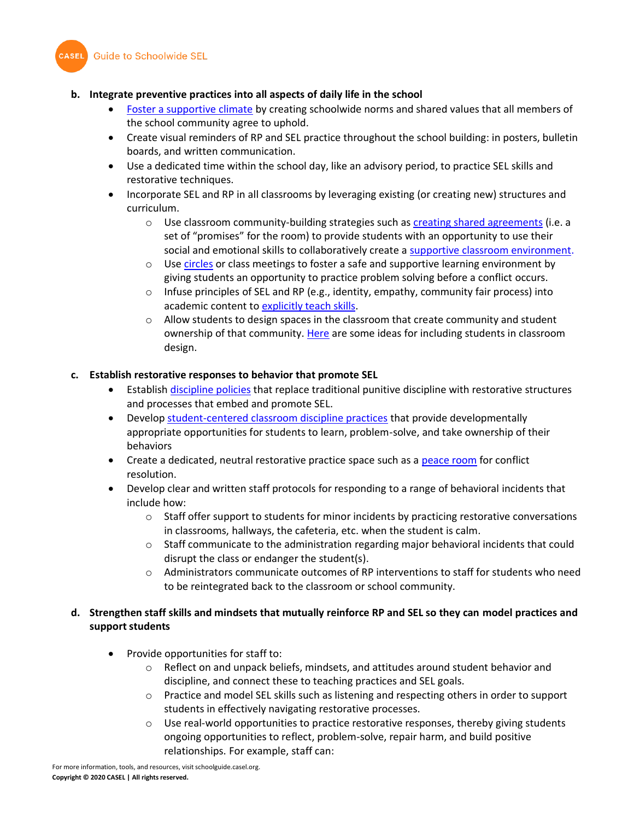



# **b. Integrate preventive practices into all aspects of daily life in the school**

- [Foster a supportive climate](https://schoolguide.casel.org/focus-area-3/school/establish-schoolwide-norms/) by creating schoolwide norms and shared values that all members of the school community agree to uphold.
- Create visual reminders of RP and SEL practice throughout the school building: in posters, bulletin boards, and written communication.
- Use a dedicated time within the school day, like an advisory period, to practice SEL skills and restorative techniques.
- Incorporate SEL and RP in all classrooms by leveraging existing (or creating new) structures and curriculum.
	- $\circ$  Use classroom community-building strategies such as [creating shared agreements](https://schoolguide.casel.org/focus-area-3/classroom/a-supportive-classroom-environment/community-building/) (i.e. a set of "promises" for the room) to provide students with an opportunity to use their social and emotional skills to collaboratively create a [supportive classroom environment.](https://schoolguide.casel.org/focus-area-3/classroom/a-supportive-classroom-environment/)
	- $\circ$  Us[e circles](#page-4-0) or class meetings to foster a safe and supportive learning environment by giving students an opportunity to practice problem solving before a conflict occurs.
	- $\circ$  Infuse principles of SEL and RP (e.g., identity, empathy, community fair process) into academic content t[o explicitly teach skills.](https://schoolguide.casel.org/focus-area-3/classroom/explicit-sel-instruction/)
	- $\circ$  Allow students to design spaces in the classroom that create community and student ownership of that community[. Here](https://www.weareteachers.com/16-ways-to-involve-kids-in-creating-their-own-learning-spaces/) are some ideas for including students in classroom design.

# **c. Establish restorative responses to behavior that promote SEL**

- Establis[h discipline policies](https://schoolguide.casel.org/focus-area-3/school/establish-discipline-policies-that-promote-sel/) that replace traditional punitive discipline with restorative structures and processes that embed and promote SEL.
- Develo[p student-centered classroom discipline practices](https://schoolguide.casel.org/focus-area-3/classroom/a-supportive-classroom-environment/student-centered-discipline/) that provide developmentally appropriate opportunities for students to learn, problem-solve, and take ownership of their behaviors
- Create a dedicated, neutral restorative practice space such as a [peace room](https://schoolguide.casel.org/resource/create-a-high-school-peace-room/) for conflict resolution.
- Develop clear and written staff protocols for responding to a range of behavioral incidents that include how:
	- $\circ$  Staff offer support to students for minor incidents by practicing restorative conversations in classrooms, hallways, the cafeteria, etc. when the student is calm.
	- o Staff communicate to the administration regarding major behavioral incidents that could disrupt the class or endanger the student(s).
	- $\circ$  Administrators communicate outcomes of RP interventions to staff for students who need to be reintegrated back to the classroom or school community.

# **d. Strengthen staff skills and mindsets that mutually reinforce RP and SEL so they can model practices and support students**

- Provide opportunities for staff to:
	- $\circ$  Reflect on and unpack beliefs, mindsets, and attitudes around student behavior and discipline, and connect these to teaching practices and SEL goals.
	- o Practice and model SEL skills such as listening and respecting others in order to support students in effectively navigating restorative processes.
	- $\circ$  Use real-world opportunities to practice restorative responses, thereby giving students ongoing opportunities to reflect, problem-solve, repair harm, and build positive relationships. For example, staff can: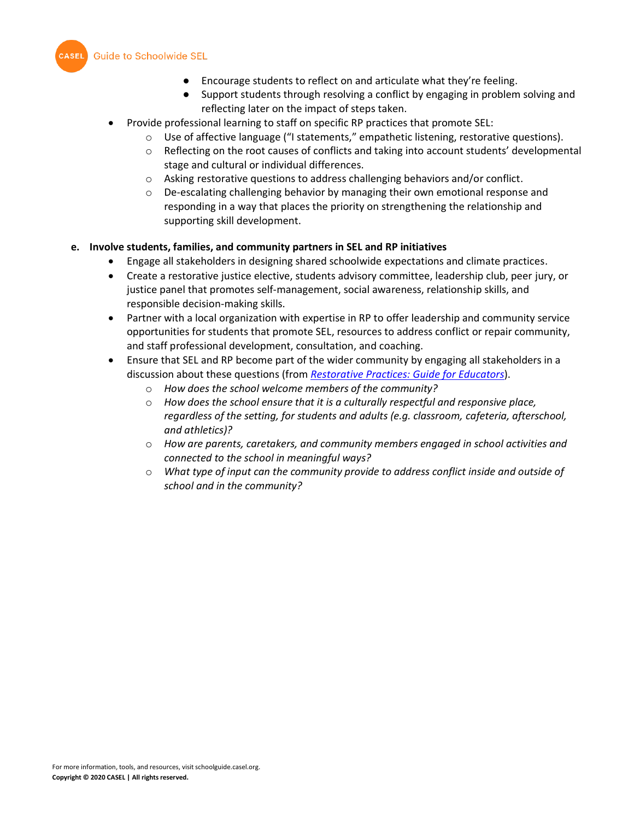

- Encourage students to reflect on and articulate what they're feeling.
- Support students through resolving a conflict by engaging in problem solving and reflecting later on the impact of steps taken.
- Provide professional learning to staff on specific RP practices that promote SEL:
	- o Use of affective language ("I statements," empathetic listening, restorative questions).
	- o Reflecting on the root causes of conflicts and taking into account students' developmental stage and cultural or individual differences.
	- $\circ$  Asking restorative questions to address challenging behaviors and/or conflict.
	- $\circ$  De-escalating challenging behavior by managing their own emotional response and responding in a way that places the priority on strengthening the relationship and supporting skill development.

#### **e. Involve students, families, and community partners in SEL and RP initiatives**

- Engage all stakeholders in designing shared schoolwide expectations and climate practices.
- Create a restorative justice elective, students advisory committee, leadership club, peer jury, or justice panel that promotes self-management, social awareness, relationship skills, and responsible decision-making skills.
- Partner with a local organization with expertise in RP to offer leadership and community service opportunities for students that promote SEL, resources to address conflict or repair community, and staff professional development, consultation, and coaching.
- Ensure that SEL and RP become part of the wider community by engaging all stakeholders in a discussion about these questions (from *[Restorative Practices: Guide for Educators](http://schottfoundation.org/sites/default/files/restorative-practices-guide.pdf)*).
	- o *How does the school welcome members of the community?*
	- o *How does the school ensure that it is a culturally respectful and responsive place, regardless of the setting, for students and adults (e.g. classroom, cafeteria, afterschool, and athletics)?*
	- o *How are parents, caretakers, and community members engaged in school activities and connected to the school in meaningful ways?*
	- o *What type of input can the community provide to address conflict inside and outside of school and in the community?*